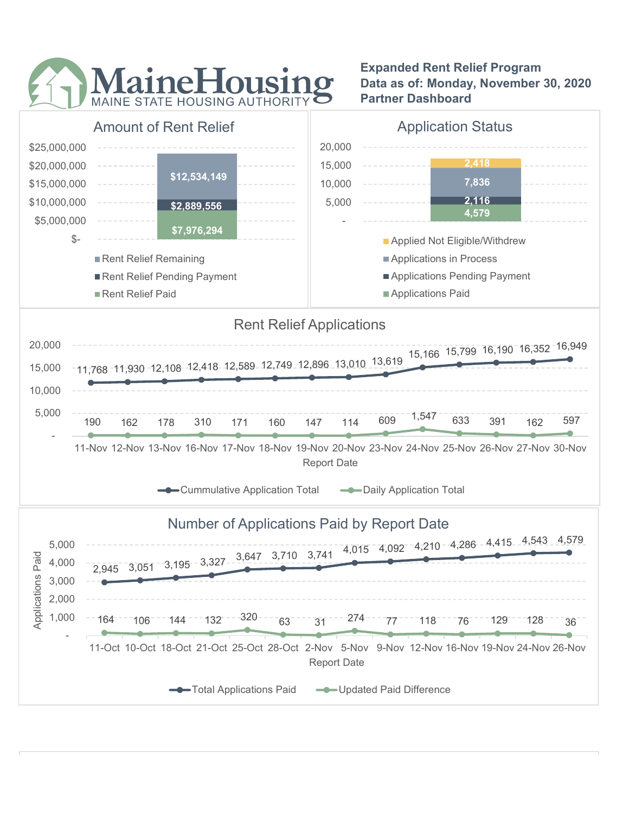

Expanded Rent Relief Program Data as of: Monday, November 30, 2020 Partner Dashboard